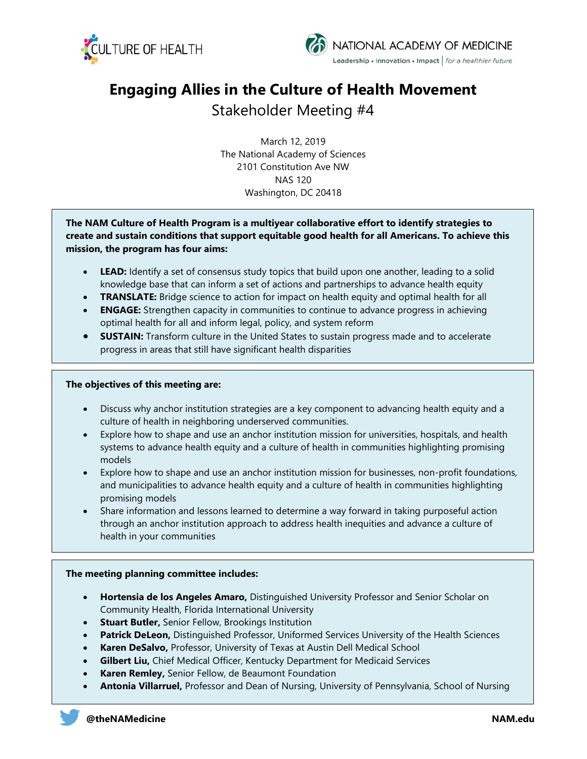



# **Engaging Allies in the Culture of Health Movement**

# Stakeholder Meeting #4

March 12, 2019 The National Academy of Sciences 2101 Constitution Ave NW NAS 120 Washington, DC 20418

**The NAM Culture of Health Program is a multiyear collaborative effort to identify strategies to create and sustain conditions that support equitable good health for all Americans. To achieve this mission, the program has four aims:**

- **LEAD:** Identify a set of consensus study topics that build upon one another, leading to a solid knowledge base that can inform a set of actions and partnerships to advance health equity
- **TRANSLATE:** Bridge science to action for impact on health equity and optimal health for all
- **ENGAGE:** Strengthen capacity in communities to continue to advance progress in achieving optimal health for all and inform legal, policy, and system reform
- **SUSTAIN:** Transform culture in the United States to sustain progress made and to accelerate progress in areas that still have significant health disparities

# **The objectives of this meeting are:**

- Discuss why anchor institution strategies are a key component to advancing health equity and a culture of health in neighboring underserved communities.
- Explore how to shape and use an anchor institution mission for universities, hospitals, and health systems to advance health equity and a culture of health in communities highlighting promising models
- Explore how to shape and use an anchor institution mission for businesses, non-profit foundations, and municipalities to advance health equity and a culture of health in communities highlighting promising models
- Share information and lessons learned to determine a way forward in taking purposeful action through an anchor institution approach to address health inequities and advance a culture of health in your communities

# **The meeting planning committee includes:**

- **Hortensia de los Angeles Amaro,** Distinguished University Professor and Senior Scholar on Community Health, Florida International University
- **Stuart Butler, Senior Fellow, Brookings Institution**
- **Patrick DeLeon,** Distinguished Professor, Uniformed Services University of the Health Sciences
- **Karen DeSalvo,** Professor, University of Texas at Austin Dell Medical School
- **Gilbert Liu,** Chief Medical Officer, Kentucky Department for Medicaid Services
- **Karen Remley,** Senior Fellow, de Beaumont Foundation
- **Antonia Villarruel,** Professor and Dean of Nursing, University of Pennsylvania, School of Nursing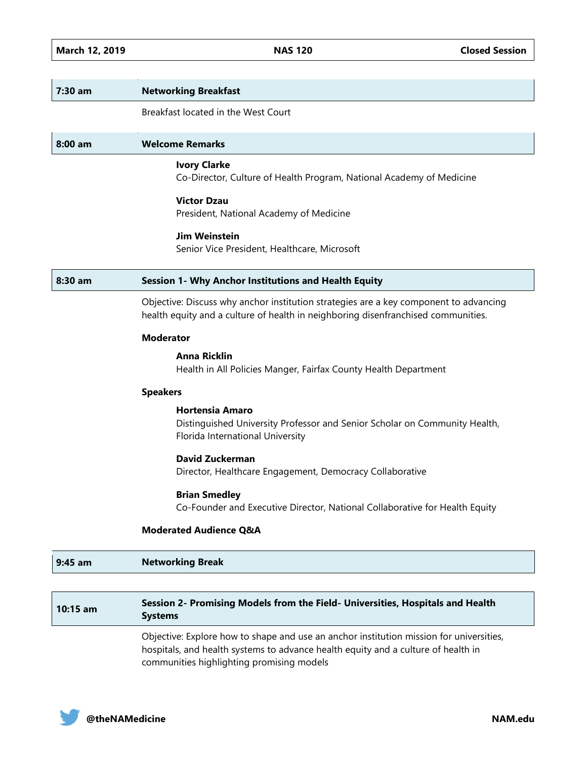#### **7:30 am Networking Breakfast**

Breakfast located in the West Court

#### **8:00 am Welcome Remarks**

## **Ivory Clarke**

Co-Director, Culture of Health Program, National Academy of Medicine

# **Victor Dzau**

President, National Academy of Medicine

# **Jim Weinstein**

Senior Vice President, Healthcare, Microsoft

#### **8:30 am Session 1- Why Anchor Institutions and Health Equity**

Objective: Discuss why anchor institution strategies are a key component to advancing health equity and a culture of health in neighboring disenfranchised communities.

#### **Moderator**

#### **Anna Ricklin**

Health in All Policies Manger, Fairfax County Health Department

#### **Speakers**

# **Hortensia Amaro**

Distinguished University Professor and Senior Scholar on Community Health, Florida International University

### **David Zuckerman**

Director, Healthcare Engagement, Democracy Collaborative

### **Brian Smedley**

Co-Founder and Executive Director, National Collaborative for Health Equity

#### **Moderated Audience Q&A**

# **9:45 am Networking Break**

# **10:15 am Session 2- Promising Models from the Field- Universities, Hospitals and Health Systems**

Objective: Explore how to shape and use an anchor institution mission for universities, hospitals, and health systems to advance health equity and a culture of health in communities highlighting promising models

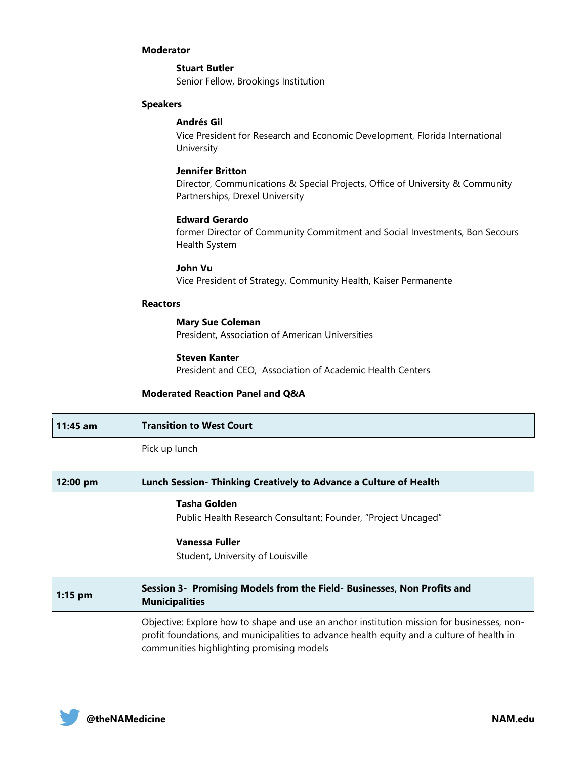#### **Moderator**

**Stuart Butler** Senior Fellow, Brookings Institution

#### **Speakers**

#### **Andrés Gil**

Vice President for Research and Economic Development, Florida International University

# **Jennifer Britton**

Director, Communications & Special Projects, Office of University & Community Partnerships, Drexel University

# **Edward Gerardo**

former Director of Community Commitment and Social Investments, Bon Secours Health System

#### **John Vu**

Vice President of Strategy, Community Health, Kaiser Permanente

#### **Reactors**

#### **Mary Sue Coleman** President, Association of American Universities

**Steven Kanter** President and CEO, Association of Academic Health Centers

#### **Moderated Reaction Panel and Q&A**

| $11:45$ am | <b>Transition to West Court</b> |
|------------|---------------------------------|
|            | Pick up lunch                   |

# **12:00 pm Lunch Session- Thinking Creatively to Advance a Culture of Health Tasha Golden** Public Health Research Consultant; Founder, "Project Uncaged" **Vanessa Fuller** Student, University of Louisville **1:15 pm Session 3- Promising Models from the Field- Businesses, Non Profits and <b>1:15** pm **Municipalities**

Objective: Explore how to shape and use an anchor institution mission for businesses, nonprofit foundations, and municipalities to advance health equity and a culture of health in communities highlighting promising models